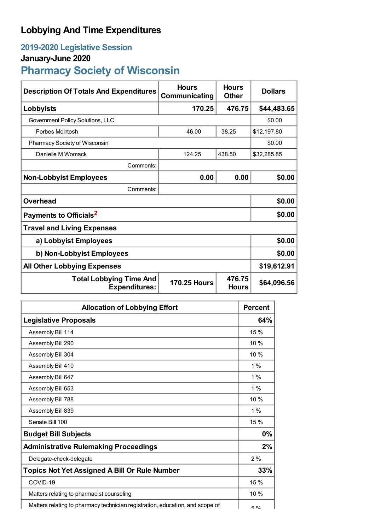## **Lobbying And Time Expenditures**

## **2019-2020 Legislative Session**

## **January-June 2020**

# **Pharmacy Society of Wisconsin**

| <b>Description Of Totals And Expenditures</b>          | <b>Hours</b><br>Communicating | <b>Hours</b><br><b>Other</b> | <b>Dollars</b> |
|--------------------------------------------------------|-------------------------------|------------------------------|----------------|
| Lobbyists                                              | 170.25                        | 476.75                       | \$44,483.65    |
| Government Policy Solutions, LLC                       |                               |                              | \$0.00         |
| <b>Forbes McIntosh</b>                                 | 46.00                         | 38.25                        | \$12,197.80    |
| Pharmacy Society of Wisconsin                          |                               | \$0.00                       |                |
| Danielle M Womack                                      | 124.25                        | 438.50                       | \$32,285.85    |
| Comments:                                              |                               |                              |                |
| <b>Non-Lobbyist Employees</b>                          | 0.00                          | 0.00                         | \$0.00         |
| Comments:                                              |                               |                              |                |
| <b>Overhead</b>                                        |                               |                              | \$0.00         |
| Payments to Officials <sup>2</sup>                     |                               |                              | \$0.00         |
| <b>Travel and Living Expenses</b>                      |                               |                              |                |
| a) Lobbyist Employees                                  |                               |                              | \$0.00         |
| b) Non-Lobbyist Employees                              |                               |                              | \$0.00         |
| <b>All Other Lobbying Expenses</b>                     |                               |                              | \$19,612.91    |
| <b>Total Lobbying Time And</b><br><b>Expenditures:</b> | <b>170.25 Hours</b>           | 476.75<br><b>Hours</b>       | \$64,096.56    |

| <b>Allocation of Lobbying Effort</b>                                          |             |
|-------------------------------------------------------------------------------|-------------|
| <b>Legislative Proposals</b>                                                  | 64%         |
| Assembly Bill 114                                                             | 15 %        |
| Assembly Bill 290                                                             | 10 %        |
| Assembly Bill 304                                                             | 10%         |
| Assembly Bill 410                                                             | 1%          |
| Assembly Bill 647                                                             | 1%          |
| Assembly Bill 653                                                             | $1\%$       |
| Assembly Bill 788                                                             | 10 %        |
| Assembly Bill 839                                                             | $1\%$       |
| Senate Bill 100                                                               | 15 %        |
| <b>Budget Bill Subjects</b>                                                   | 0%          |
| <b>Administrative Rulemaking Proceedings</b>                                  | 2%          |
| Delegate-check-delegate                                                       | 2%          |
| <b>Topics Not Yet Assigned A Bill Or Rule Number</b>                          | 33%         |
| COVID-19                                                                      | 15 %        |
| Matters relating to pharmacist counseling                                     | 10 %        |
| Matters relating to pharmacy technician registration, education, and scope of | <b>に 0/</b> |